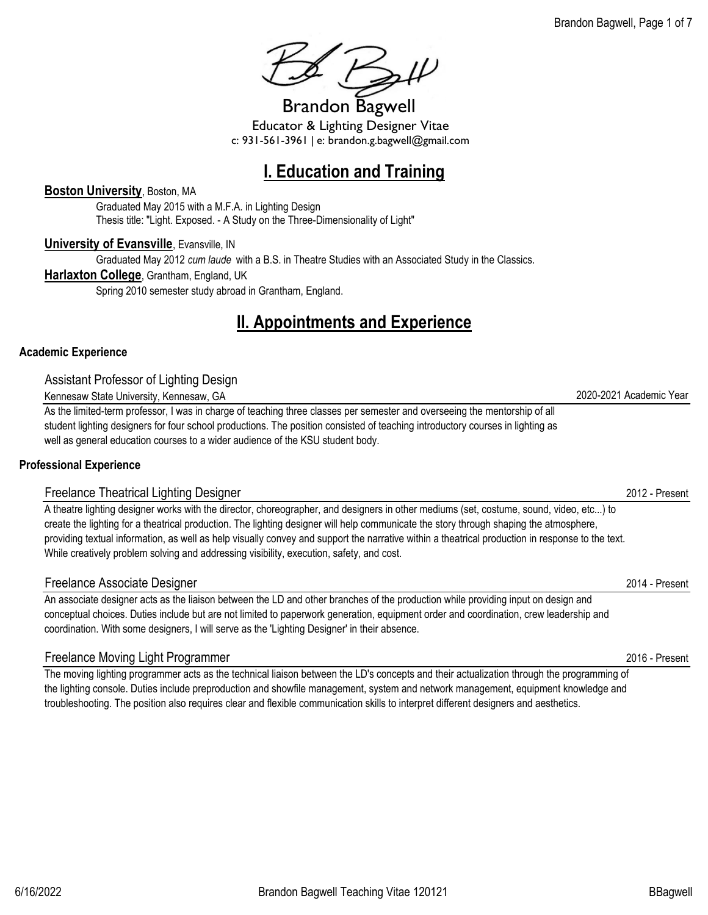**I. Education and Training**

Educator & Lighting Designer Vitae c: 931-561-3961 | e: brandon.g.bagwell@gmail.com

#### **Boston University**, Boston, MA

Graduated May 2015 with a M.F.A. in Lighting Design Thesis title: "Light. Exposed. - A Study on the Three-Dimensionality of Light"

#### **University of Evansville**, Evansville, IN

Graduated May 2012 *cum laude* with a B.S. in Theatre Studies with an Associated Study in the Classics.

#### **Harlaxton College**, Grantham, England, UK

Spring 2010 semester study abroad in Grantham, England.

## **II. Appointments and Experience**

#### **Academic Experience**

Assistant Professor of Lighting Design

Kennesaw State University, Kennesaw, GA 2020-2021 Academic Year

As the limited-term professor, I was in charge of teaching three classes per semester and overseeing the mentorship of all student lighting designers for four school productions. The position consisted of teaching introductory courses in lighting as well as general education courses to a wider audience of the KSU student body.

#### **Professional Experience**

#### Freelance Theatrical Lighting Designer 2012 - Present

A theatre lighting designer works with the director, choreographer, and designers in other mediums (set, costume, sound, video, etc...) to create the lighting for a theatrical production. The lighting designer will help communicate the story through shaping the atmosphere, providing textual information, as well as help visually convey and support the narrative within a theatrical production in response to the text. While creatively problem solving and addressing visibility, execution, safety, and cost.

#### Freelance Associate Designer 2014 - Present

An associate designer acts as the liaison between the LD and other branches of the production while providing input on design and conceptual choices. Duties include but are not limited to paperwork generation, equipment order and coordination, crew leadership and coordination. With some designers, I will serve as the 'Lighting Designer' in their absence.

#### Freelance Moving Light Programmer 2016 - Present

The moving lighting programmer acts as the technical liaison between the LD's concepts and their actualization through the programming of the lighting console. Duties include preproduction and showfile management, system and network management, equipment knowledge and troubleshooting. The position also requires clear and flexible communication skills to interpret different designers and aesthetics.

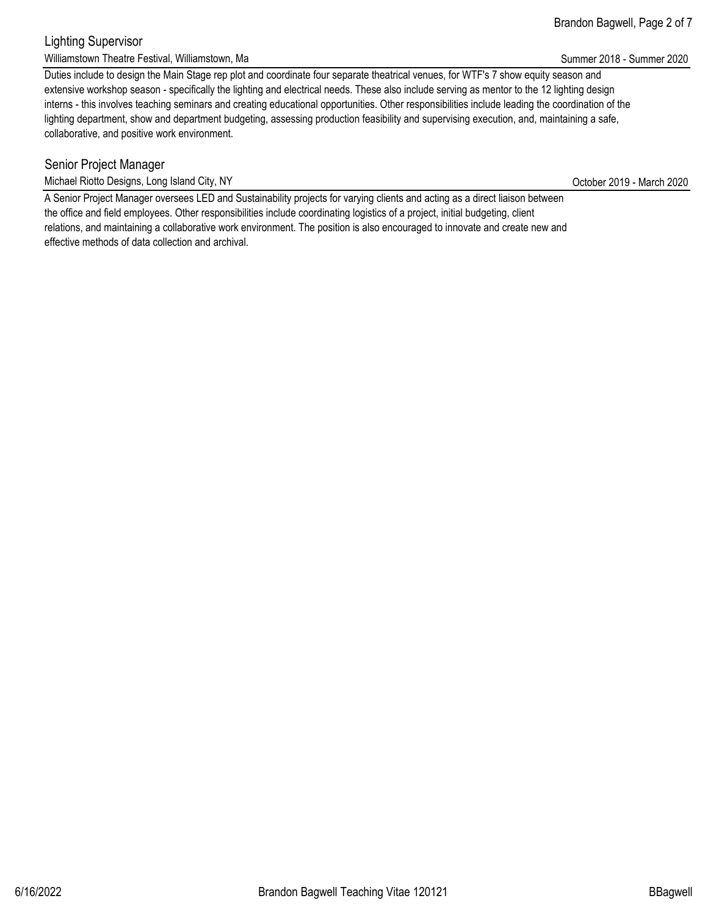#### Brandon Bagwell, Page 2 of 7

#### Lighting Supervisor Williamstown Theatre Festival, Williamstown, Ma Summer 2020 Controlled a structure of the Summer 2018 - Summer 2020

Duties include to design the Main Stage rep plot and coordinate four separate theatrical venues, for WTF's 7 show equity season and extensive workshop season - specifically the lighting and electrical needs. These also include serving as mentor to the 12 lighting design interns - this involves teaching seminars and creating educational opportunities. Other responsibilities include leading the coordination of the lighting department, show and department budgeting, assessing production feasibility and supervising execution, and, maintaining a safe, collaborative, and positive work environment.

### Senior Project Manager

Michael Riotto Designs, Long Island City, NY Channel Control of the Control of the Control of the Control of the Control of the Control of the Control of the Control of the Control of the Control of the Control of the Cont

A Senior Project Manager oversees LED and Sustainability projects for varying clients and acting as a direct liaison between the office and field employees. Other responsibilities include coordinating logistics of a project, initial budgeting, client relations, and maintaining a collaborative work environment. The position is also encouraged to innovate and create new and effective methods of data collection and archival.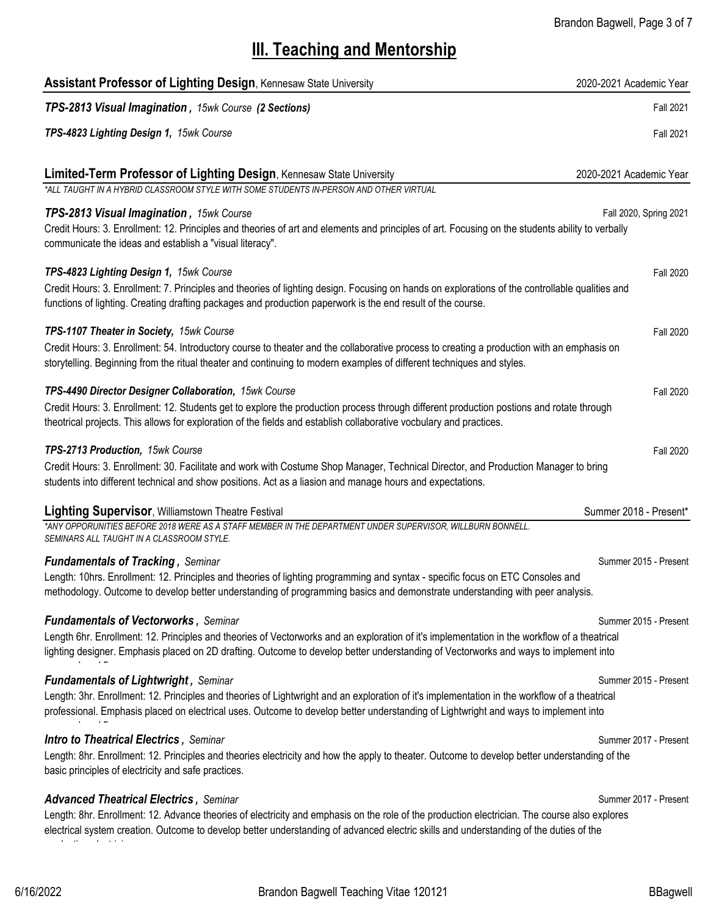# **III. Teaching and Mentorship**

| <b>Assistant Professor of Lighting Design, Kennesaw State University</b>                                                                                                                                                                                                                | 2020-2021 Academic Year |
|-----------------------------------------------------------------------------------------------------------------------------------------------------------------------------------------------------------------------------------------------------------------------------------------|-------------------------|
| TPS-2813 Visual Imagination, 15wk Course (2 Sections)                                                                                                                                                                                                                                   | <b>Fall 2021</b>        |
| TPS-4823 Lighting Design 1, 15wk Course                                                                                                                                                                                                                                                 | <b>Fall 2021</b>        |
| Limited-Term Professor of Lighting Design, Kennesaw State University                                                                                                                                                                                                                    | 2020-2021 Academic Year |
| *ALL TAUGHT IN A HYBRID CLASSROOM STYLE WITH SOME STUDENTS IN-PERSON AND OTHER VIRTUAL                                                                                                                                                                                                  |                         |
| TPS-2813 Visual Imagination, 15wk Course<br>Credit Hours: 3. Enrollment: 12. Principles and theories of art and elements and principles of art. Focusing on the students ability to verbally<br>communicate the ideas and establish a "visual literacy".                                | Fall 2020, Spring 2021  |
| TPS-4823 Lighting Design 1, 15wk Course                                                                                                                                                                                                                                                 | <b>Fall 2020</b>        |
| Credit Hours: 3. Enrollment: 7. Principles and theories of lighting design. Focusing on hands on explorations of the controllable qualities and<br>functions of lighting. Creating drafting packages and production paperwork is the end result of the course.                          |                         |
| TPS-1107 Theater in Society, 15wk Course                                                                                                                                                                                                                                                | <b>Fall 2020</b>        |
| Credit Hours: 3. Enrollment: 54. Introductory course to theater and the collaborative process to creating a production with an emphasis on<br>storytelling. Beginning from the ritual theater and continuing to modern examples of different techniques and styles.                     |                         |
| TPS-4490 Director Designer Collaboration, 15wk Course                                                                                                                                                                                                                                   | <b>Fall 2020</b>        |
| Credit Hours: 3. Enrollment: 12. Students get to explore the production process through different production postions and rotate through<br>theotrical projects. This allows for exploration of the fields and establish collaborative vocbulary and practices.                         |                         |
| TPS-2713 Production, 15wk Course                                                                                                                                                                                                                                                        | Fall 2020               |
| Credit Hours: 3. Enrollment: 30. Facilitate and work with Costume Shop Manager, Technical Director, and Production Manager to bring<br>students into different technical and show positions. Act as a liasion and manage hours and expectations.                                        |                         |
| <b>Lighting Supervisor, Williamstown Theatre Festival</b>                                                                                                                                                                                                                               | Summer 2018 - Present*  |
| *ANY OPPORUNITIES BEFORE 2018 WERE AS A STAFF MEMBER IN THE DEPARTMENT UNDER SUPERVISOR, WILLBURN BONNELL.<br>SEMINARS ALL TAUGHT IN A CLASSROOM STYLE.                                                                                                                                 |                         |
| <b>Fundamentals of Tracking, Seminar</b>                                                                                                                                                                                                                                                | Summer 2015 - Present   |
| Length: 10hrs. Enrollment: 12. Principles and theories of lighting programming and syntax - specific focus on ETC Consoles and<br>methodology. Outcome to develop better understanding of programming basics and demonstrate understanding with peer analysis.                          |                         |
| <b>Fundamentals of Vectorworks, Seminar</b>                                                                                                                                                                                                                                             | Summer 2015 - Present   |
| Length 6hr. Enrollment: 12. Principles and theories of Vectorworks and an exploration of it's implementation in the workflow of a theatrical<br>lighting designer. Emphasis placed on 2D drafting. Outcome to develop better understanding of Vectorworks and ways to implement into    |                         |
| <b>Fundamentals of Lightwright, Seminar</b>                                                                                                                                                                                                                                             | Summer 2015 - Present   |
| Length: 3hr. Enrollment: 12. Principles and theories of Lightwright and an exploration of it's implementation in the workflow of a theatrical                                                                                                                                           |                         |
| professional. Emphasis placed on electrical uses. Outcome to develop better understanding of Lightwright and ways to implement into                                                                                                                                                     |                         |
| <b>Intro to Theatrical Electrics, Seminar</b>                                                                                                                                                                                                                                           | Summer 2017 - Present   |
| Length: 8hr. Enrollment: 12. Principles and theories electricity and how the apply to theater. Outcome to develop better understanding of the<br>basic principles of electricity and safe practices.                                                                                    |                         |
| <b>Advanced Theatrical Electrics, Seminar</b>                                                                                                                                                                                                                                           | Summer 2017 - Present   |
| Length: 8hr. Enrollment: 12. Advance theories of electricity and emphasis on the role of the production electrician. The course also explores<br>electrical system creation. Outcome to develop better understanding of advanced electric skills and understanding of the duties of the |                         |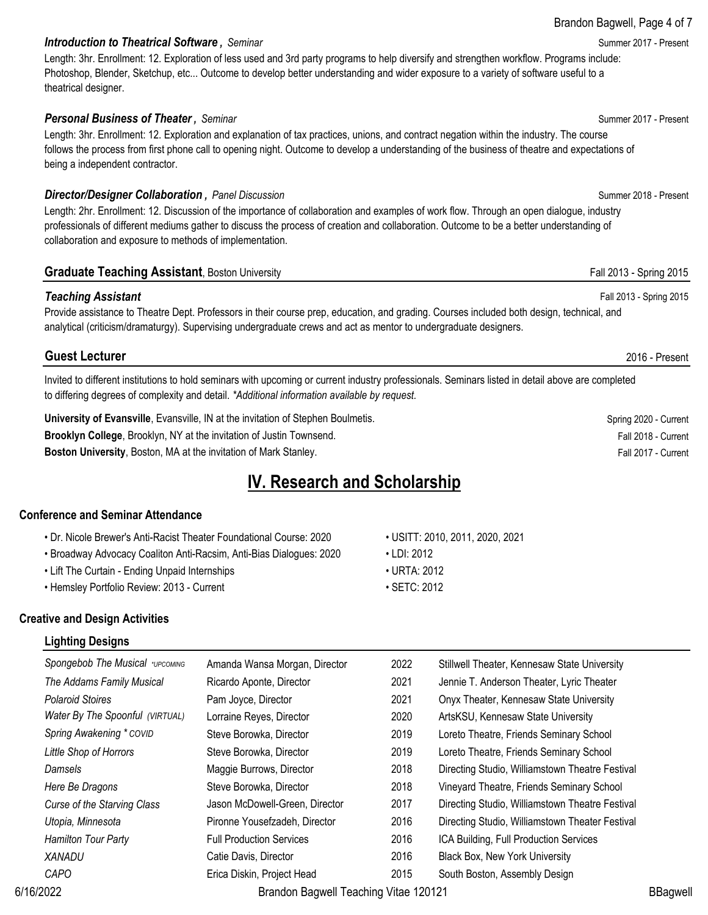#### **Introduction to Theatrical Software**, Seminar **Summer 2017 - Present** Summer 2017 - Present

Length: 3hr. Enrollment: 12. Exploration of less used and 3rd party programs to help diversify and strengthen workflow. Programs include: Photoshop, Blender, Sketchup, etc... Outcome to develop better understanding and wider exposure to a variety of software useful to a theatrical designer.

#### **Personal Business of Theater**, Seminar Summer 2017 - Present Summer 2017 - Present

Length: 3hr. Enrollment: 12. Exploration and explanation of tax practices, unions, and contract negation within the industry. The course follows the process from first phone call to opening night. Outcome to develop a understanding of the business of theatre and expectations of being a independent contractor.

#### **Director/Designer Collaboration**, Panel Discussion Summer 2018 - Present

Length: 2hr. Enrollment: 12. Discussion of the importance of collaboration and examples of work flow. Through an open dialogue, industry professionals of different mediums gather to discuss the process of creation and collaboration. Outcome to be a better understanding of collaboration and exposure to methods of implementation.

#### **Graduate Teaching Assistant**, Boston University Fall 2013 - Spring 2015

#### *Teaching Assistant* Fall 2013 - Spring 2015

Provide assistance to Theatre Dept. Professors in their course prep, education, and grading. Courses included both design, technical, and analytical (criticism/dramaturgy). Supervising undergraduate crews and act as mentor to undergraduate designers.

#### **Guest Lecturer** 2016 - Present

Invited to different institutions to hold seminars with upcoming or current industry professionals. Seminars listed in detail above are completed to differing degrees of complexity and detail. *\*Additional information available by request.*

**University of Evansville**, Evansville, IN at the invitation of Stephen Boulmetis. Spring 2020 - Current Spring 2020 - Current **Brooklyn College**, Brooklyn, NY at the invitation of Justin Townsend. Fall 2018 - Current College, Brooklyn, NY at the invitation of Justin Townsend.

**Boston University**, Boston, MA at the invitation of Mark Stanley. Fall 2017 - Current Current Current Current Current

### **IV. Research and Scholarship**

#### **Conference and Seminar Attendance**

- Dr. Nicole Brewer's Anti-Racist Theater Foundational Course: 2020 USITT: 2010, 2011, 2020, 2021
- Broadway Advocacy Coaliton Anti-Racsim, Anti-Bias Dialogues: 2020 LDI: 2012
- Lift The Curtain Ending Unpaid Internships URTA: 2012
- Hemsley Portfolio Review: 2013 Current Current SETC: 2012
- 
- 
- -

#### **Creative and Design Activities**

#### **Lighting Designs**

| Spongebob The Musical *UPCOMING | Amanda Wansa Morgan, Director         | 2022 | Stillwell Theater, Kennesaw State University    |                 |
|---------------------------------|---------------------------------------|------|-------------------------------------------------|-----------------|
| The Addams Family Musical       | Ricardo Aponte, Director              | 2021 | Jennie T. Anderson Theater, Lyric Theater       |                 |
| <b>Polaroid Stoires</b>         | Pam Joyce, Director                   | 2021 | Onyx Theater, Kennesaw State University         |                 |
| Water By The Spoonful (VIRTUAL) | Lorraine Reyes, Director              | 2020 | ArtsKSU, Kennesaw State University              |                 |
| Spring Awakening * COVID        | Steve Borowka, Director               | 2019 | Loreto Theatre, Friends Seminary School         |                 |
| Little Shop of Horrors          | Steve Borowka, Director               | 2019 | Loreto Theatre, Friends Seminary School         |                 |
| Damsels                         | Maggie Burrows, Director              | 2018 | Directing Studio, Williamstown Theatre Festival |                 |
| Here Be Dragons                 | Steve Borowka, Director               | 2018 | Vineyard Theatre, Friends Seminary School       |                 |
| Curse of the Starving Class     | Jason McDowell-Green, Director        | 2017 | Directing Studio, Williamstown Theatre Festival |                 |
| Utopia, Minnesota               | Pironne Yousefzadeh, Director         | 2016 | Directing Studio, Williamstown Theater Festival |                 |
| <b>Hamilton Tour Party</b>      | <b>Full Production Services</b>       | 2016 | ICA Building, Full Production Services          |                 |
| <b>XANADU</b>                   | Catie Davis, Director                 | 2016 | Black Box, New York University                  |                 |
| CAPO                            | Erica Diskin, Project Head            | 2015 | South Boston, Assembly Design                   |                 |
| 6/16/2022                       | Brandon Bagwell Teaching Vitae 120121 |      |                                                 | <b>BBagwell</b> |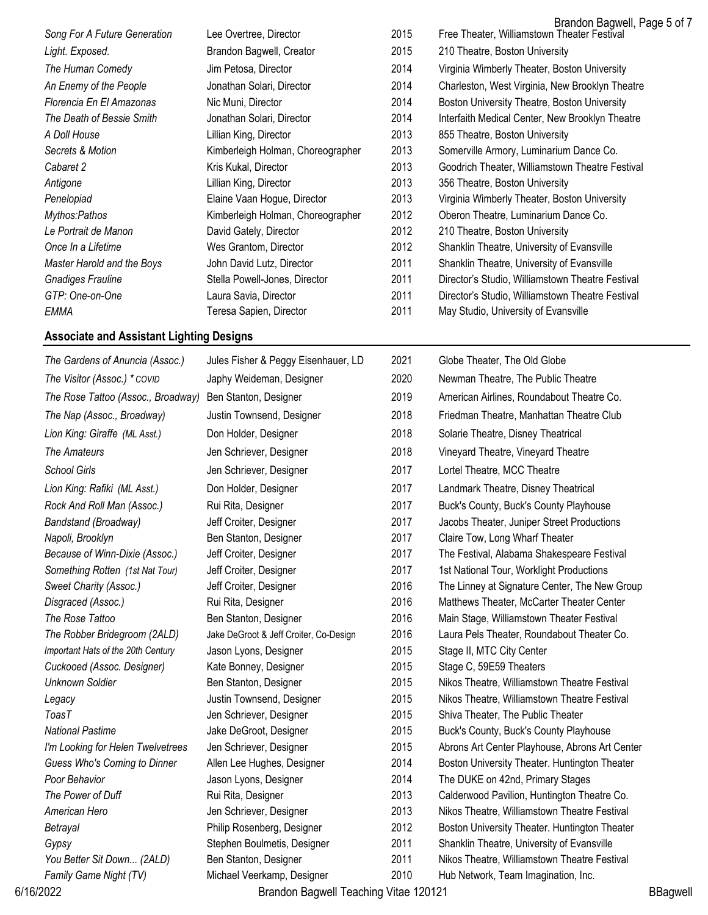|                              |                                   |      | Brandon Bagwell, Page 5 of 7                     |
|------------------------------|-----------------------------------|------|--------------------------------------------------|
| Song For A Future Generation | Lee Overtree, Director            | 2015 | Free Theater, Williamstown Theater Festival      |
| Light. Exposed.              | Brandon Bagwell, Creator          | 2015 | 210 Theatre, Boston University                   |
| The Human Comedy             | Jim Petosa, Director              | 2014 | Virginia Wimberly Theater, Boston University     |
| An Enemy of the People       | Jonathan Solari, Director         | 2014 | Charleston, West Virginia, New Brooklyn Theatre  |
| Florencia En El Amazonas     | Nic Muni, Director                | 2014 | Boston University Theatre, Boston University     |
| The Death of Bessie Smith    | Jonathan Solari, Director         | 2014 | Interfaith Medical Center, New Brooklyn Theatre  |
| A Doll House                 | Lillian King, Director            | 2013 | 855 Theatre, Boston University                   |
| Secrets & Motion             | Kimberleigh Holman, Choreographer | 2013 | Somerville Armory, Luminarium Dance Co.          |
| Cabaret 2                    | Kris Kukal, Director              | 2013 | Goodrich Theater, Williamstown Theatre Festival  |
| Antigone                     | Lillian King, Director            | 2013 | 356 Theatre, Boston University                   |
| Penelopiad                   | Elaine Vaan Hogue, Director       | 2013 | Virginia Wimberly Theater, Boston University     |
| Mythos:Pathos                | Kimberleigh Holman, Choreographer | 2012 | Oberon Theatre, Luminarium Dance Co.             |
| Le Portrait de Manon         | David Gately, Director            | 2012 | 210 Theatre, Boston University                   |
| Once In a Lifetime           | Wes Grantom, Director             | 2012 | Shanklin Theatre, University of Evansville       |
| Master Harold and the Boys   | John David Lutz, Director         | 2011 | Shanklin Theatre, University of Evansville       |
| <b>Gnadiges Frauline</b>     | Stella Powell-Jones, Director     | 2011 | Director's Studio, Williamstown Theatre Festival |
| GTP: One-on-One              | Laura Savia, Director             | 2011 | Director's Studio, Williamstown Theatre Festival |
| EMMA                         | Teresa Sapien, Director           | 2011 | May Studio, University of Evansville             |

#### **Associate and Assistant Lighting Designs**

| The Gardens of Anuncia (Assoc.)    | Jules Fisher & Peggy Eisenhauer, LD    | 2021 | Globe Theater, The Old Globe                   |                 |
|------------------------------------|----------------------------------------|------|------------------------------------------------|-----------------|
| The Visitor (Assoc.) * COVID       | Japhy Weideman, Designer               | 2020 | Newman Theatre, The Public Theatre             |                 |
| The Rose Tattoo (Assoc., Broadway) | Ben Stanton, Designer                  | 2019 | American Airlines, Roundabout Theatre Co.      |                 |
| The Nap (Assoc., Broadway)         | Justin Townsend, Designer              | 2018 | Friedman Theatre, Manhattan Theatre Club       |                 |
| Lion King: Giraffe (ML Asst.)      | Don Holder, Designer                   | 2018 | Solarie Theatre, Disney Theatrical             |                 |
| The Amateurs                       | Jen Schriever, Designer                | 2018 | Vineyard Theatre, Vineyard Theatre             |                 |
| <b>School Girls</b>                | Jen Schriever, Designer                | 2017 | Lortel Theatre, MCC Theatre                    |                 |
| Lion King: Rafiki (ML Asst.)       | Don Holder, Designer                   | 2017 | Landmark Theatre, Disney Theatrical            |                 |
| Rock And Roll Man (Assoc.)         | Rui Rita, Designer                     | 2017 | Buck's County, Buck's County Playhouse         |                 |
| Bandstand (Broadway)               | Jeff Croiter, Designer                 | 2017 | Jacobs Theater, Juniper Street Productions     |                 |
| Napoli, Brooklyn                   | Ben Stanton, Designer                  | 2017 | Claire Tow, Long Wharf Theater                 |                 |
| Because of Winn-Dixie (Assoc.)     | Jeff Croiter, Designer                 | 2017 | The Festival, Alabama Shakespeare Festival     |                 |
| Something Rotten (1st Nat Tour)    | Jeff Croiter, Designer                 | 2017 | 1st National Tour, Worklight Productions       |                 |
| Sweet Charity (Assoc.)             | Jeff Croiter, Designer                 | 2016 | The Linney at Signature Center, The New Group  |                 |
| Disgraced (Assoc.)                 | Rui Rita, Designer                     | 2016 | Matthews Theater, McCarter Theater Center      |                 |
| The Rose Tattoo                    | Ben Stanton, Designer                  | 2016 | Main Stage, Williamstown Theater Festival      |                 |
| The Robber Bridegroom (2ALD)       | Jake DeGroot & Jeff Croiter, Co-Design | 2016 | Laura Pels Theater, Roundabout Theater Co.     |                 |
| Important Hats of the 20th Century | Jason Lyons, Designer                  | 2015 | Stage II, MTC City Center                      |                 |
| Cuckooed (Assoc. Designer)         | Kate Bonney, Designer                  | 2015 | Stage C, 59E59 Theaters                        |                 |
| <b>Unknown Soldier</b>             | Ben Stanton, Designer                  | 2015 | Nikos Theatre, Williamstown Theatre Festival   |                 |
| Legacy                             | Justin Townsend, Designer              | 2015 | Nikos Theatre, Williamstown Theatre Festival   |                 |
| <b>ToasT</b>                       | Jen Schriever, Designer                | 2015 | Shiva Theater, The Public Theater              |                 |
| <b>National Pastime</b>            | Jake DeGroot, Designer                 | 2015 | Buck's County, Buck's County Playhouse         |                 |
| I'm Looking for Helen Twelvetrees  | Jen Schriever, Designer                | 2015 | Abrons Art Center Playhouse, Abrons Art Center |                 |
| Guess Who's Coming to Dinner       | Allen Lee Hughes, Designer             | 2014 | Boston University Theater. Huntington Theater  |                 |
| Poor Behavior                      | Jason Lyons, Designer                  | 2014 | The DUKE on 42nd, Primary Stages               |                 |
| The Power of Duff                  | Rui Rita, Designer                     | 2013 | Calderwood Pavilion, Huntington Theatre Co.    |                 |
| American Hero                      | Jen Schriever, Designer                | 2013 | Nikos Theatre, Williamstown Theatre Festival   |                 |
| Betrayal                           | Philip Rosenberg, Designer             | 2012 | Boston University Theater. Huntington Theater  |                 |
| Gypsy                              | Stephen Boulmetis, Designer            | 2011 | Shanklin Theatre, University of Evansville     |                 |
| You Better Sit Down (2ALD)         | Ben Stanton, Designer                  | 2011 | Nikos Theatre, Williamstown Theatre Festival   |                 |
| Family Game Night (TV)             | Michael Veerkamp, Designer             | 2010 | Hub Network, Team Imagination, Inc.            |                 |
| 6/16/2022                          | Brandon Bagwell Teaching Vitae 120121  |      |                                                | <b>BBagwell</b> |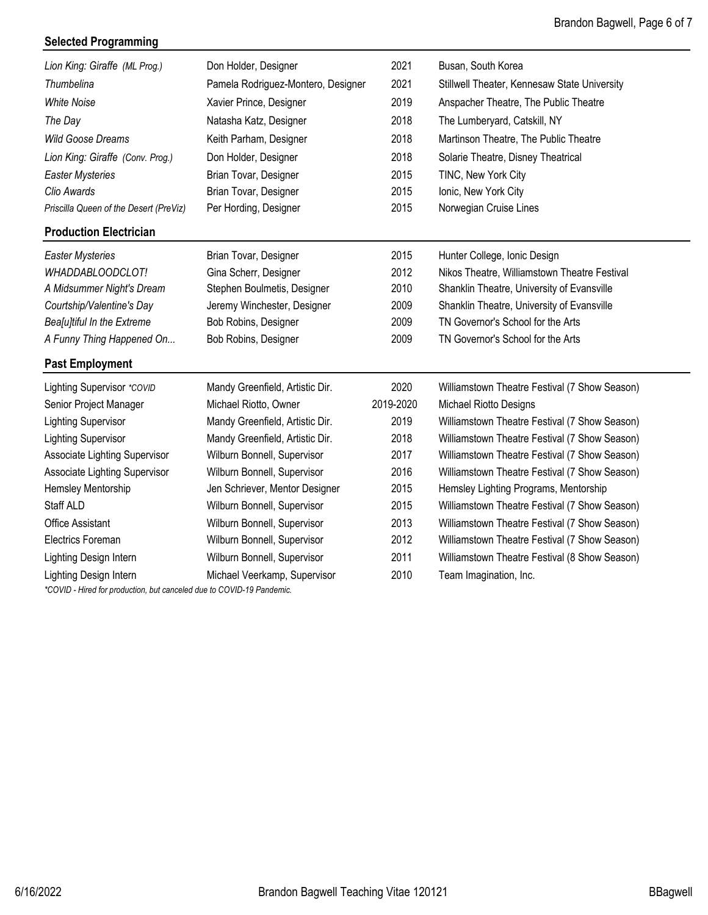#### **Selected Programming**

| Lion King: Giraffe (ML Prog.)                                                                       | Don Holder, Designer               | 2021      | Busan, South Korea                            |
|-----------------------------------------------------------------------------------------------------|------------------------------------|-----------|-----------------------------------------------|
| Thumbelina                                                                                          | Pamela Rodriguez-Montero, Designer | 2021      | Stillwell Theater, Kennesaw State University  |
| <b>White Noise</b>                                                                                  | Xavier Prince, Designer            | 2019      | Anspacher Theatre, The Public Theatre         |
| The Day                                                                                             | Natasha Katz, Designer             | 2018      | The Lumberyard, Catskill, NY                  |
| <b>Wild Goose Dreams</b>                                                                            | Keith Parham, Designer             | 2018      | Martinson Theatre, The Public Theatre         |
| Lion King: Giraffe (Conv. Prog.)                                                                    | Don Holder, Designer               | 2018      | Solarie Theatre, Disney Theatrical            |
| <b>Easter Mysteries</b>                                                                             | Brian Tovar, Designer              | 2015      | TINC, New York City                           |
| Clio Awards                                                                                         | Brian Tovar, Designer              | 2015      | Ionic, New York City                          |
| Priscilla Queen of the Desert (PreViz)                                                              | Per Hording, Designer              | 2015      | Norwegian Cruise Lines                        |
| <b>Production Electrician</b>                                                                       |                                    |           |                                               |
| <b>Easter Mysteries</b>                                                                             | Brian Tovar, Designer              | 2015      | Hunter College, Ionic Design                  |
| WHADDABLOODCLOT!                                                                                    | Gina Scherr, Designer              | 2012      | Nikos Theatre, Williamstown Theatre Festival  |
| A Midsummer Night's Dream                                                                           | Stephen Boulmetis, Designer        | 2010      | Shanklin Theatre, University of Evansville    |
| Courtship/Valentine's Day                                                                           | Jeremy Winchester, Designer        | 2009      | Shanklin Theatre, University of Evansville    |
| Bea[u]tiful In the Extreme                                                                          | Bob Robins, Designer               | 2009      | TN Governor's School for the Arts             |
| A Funny Thing Happened On                                                                           | Bob Robins, Designer               | 2009      | TN Governor's School for the Arts             |
| <b>Past Employment</b>                                                                              |                                    |           |                                               |
| Lighting Supervisor *COVID                                                                          | Mandy Greenfield, Artistic Dir.    | 2020      | Williamstown Theatre Festival (7 Show Season) |
| Senior Project Manager                                                                              | Michael Riotto, Owner              | 2019-2020 | Michael Riotto Designs                        |
| <b>Lighting Supervisor</b>                                                                          | Mandy Greenfield, Artistic Dir.    | 2019      | Williamstown Theatre Festival (7 Show Season) |
| <b>Lighting Supervisor</b>                                                                          | Mandy Greenfield, Artistic Dir.    | 2018      | Williamstown Theatre Festival (7 Show Season) |
| Associate Lighting Supervisor                                                                       | Wilburn Bonnell, Supervisor        | 2017      | Williamstown Theatre Festival (7 Show Season) |
| Associate Lighting Supervisor                                                                       | Wilburn Bonnell, Supervisor        | 2016      | Williamstown Theatre Festival (7 Show Season) |
| Hemsley Mentorship                                                                                  | Jen Schriever, Mentor Designer     | 2015      | Hemsley Lighting Programs, Mentorship         |
| Staff ALD                                                                                           | Wilburn Bonnell, Supervisor        | 2015      | Williamstown Theatre Festival (7 Show Season) |
| <b>Office Assistant</b>                                                                             | Wilburn Bonnell, Supervisor        | 2013      | Williamstown Theatre Festival (7 Show Season) |
| Electrics Foreman                                                                                   | Wilburn Bonnell, Supervisor        | 2012      | Williamstown Theatre Festival (7 Show Season) |
| Lighting Design Intern                                                                              | Wilburn Bonnell, Supervisor        | 2011      | Williamstown Theatre Festival (8 Show Season) |
| Lighting Design Intern<br>$*$ COUD Used for an distinction but agreeded due to COUD 40 Developments | Michael Veerkamp, Supervisor       | 2010      | Team Imagination, Inc.                        |

*\*COVID - Hired for production, but canceled due to COVID-19 Pandemic.*